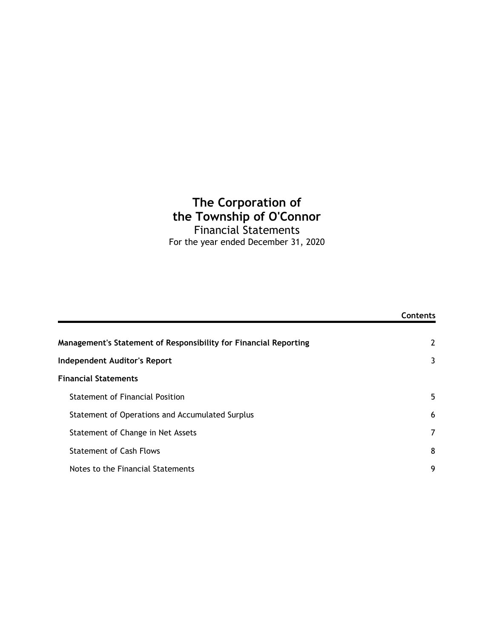# **The Corporation of the Township of O'Connor** Financial Statements For the year ended December 31, 2020

|                                                                  | <b>Contents</b> |
|------------------------------------------------------------------|-----------------|
| Management's Statement of Responsibility for Financial Reporting | 2               |
| <b>Independent Auditor's Report</b>                              | 3               |
| <b>Financial Statements</b>                                      |                 |
| <b>Statement of Financial Position</b>                           | 5               |
| Statement of Operations and Accumulated Surplus                  | 6               |
| Statement of Change in Net Assets                                | 7               |
| <b>Statement of Cash Flows</b>                                   | 8               |
| Notes to the Financial Statements                                | 9               |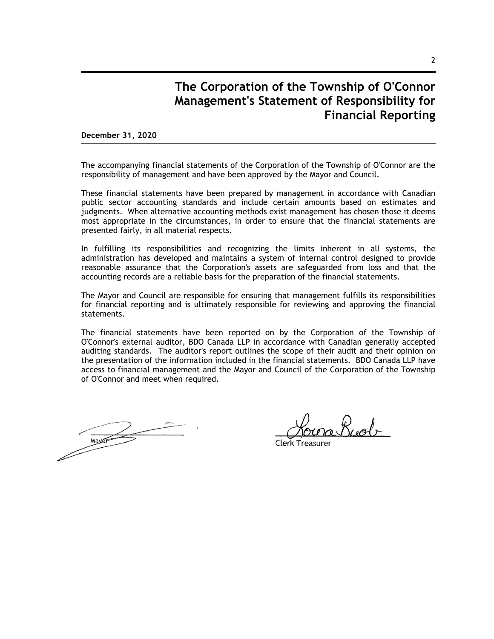# **The Corporation of the Township of O'Connor Management's Statement of Responsibility for Financial Reporting**

**December 31, 2020**

The accompanying financial statements of the Corporation of the Township of O'Connor are the responsibility of management and have been approved by the Mayor and Council.

These financial statements have been prepared by management in accordance with Canadian public sector accounting standards and include certain amounts based on estimates and judgments. When alternative accounting methods exist management has chosen those it deems most appropriate in the circumstances, in order to ensure that the financial statements are presented fairly, in all material respects.

In fulfilling its responsibilities and recognizing the limits inherent in all systems, the administration has developed and maintains a system of internal control designed to provide reasonable assurance that the Corporation's assets are safeguarded from loss and that the accounting records are a reliable basis for the preparation of the financial statements.

The Mayor and Council are responsible for ensuring that management fulfills its responsibilities for financial reporting and is ultimately responsible for reviewing and approving the financial statements.

The financial statements have been reported on by the Corporation of the Township of O'Connor's external auditor, BDO Canada LLP in accordance with Canadian generally accepted auditing standards. The auditor's report outlines the scope of their audit and their opinion on the presentation of the information included in the financial statements. BDO Canada LLP have access to financial management and the Mayor and Council of the Corporation of the Township of O'Connor and meet when required.

Mayor Roma Buob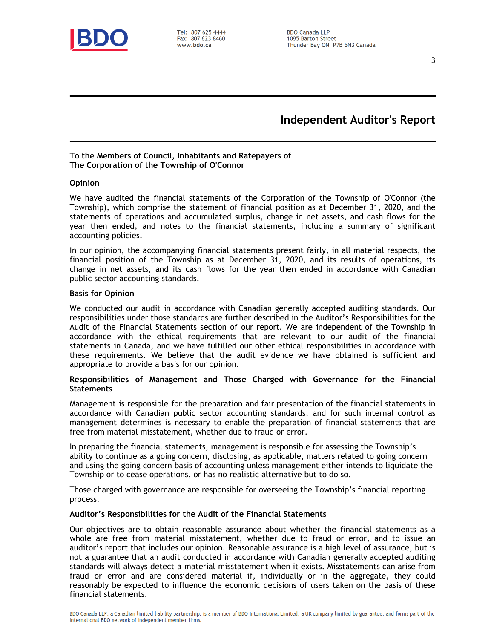

# **Independent Auditor's Report**

#### **To the Members of Council, Inhabitants and Ratepayers of The Corporation of the Township of O'Connor**

### **Opinion**

We have audited the financial statements of the Corporation of the Township of O'Connor (the Township), which comprise the statement of financial position as at December 31, 2020, and the statements of operations and accumulated surplus, change in net assets, and cash flows for the year then ended, and notes to the financial statements, including a summary of significant accounting policies.

In our opinion, the accompanying financial statements present fairly, in all material respects, the financial position of the Township as at December 31, 2020, and its results of operations, its change in net assets, and its cash flows for the year then ended in accordance with Canadian public sector accounting standards.

#### **Basis for Opinion**

We conducted our audit in accordance with Canadian generally accepted auditing standards. Our responsibilities under those standards are further described in the Auditor's Responsibilities for the Audit of the Financial Statements section of our report. We are independent of the Township in accordance with the ethical requirements that are relevant to our audit of the financial statements in Canada, and we have fulfilled our other ethical responsibilities in accordance with these requirements. We believe that the audit evidence we have obtained is sufficient and appropriate to provide a basis for our opinion.

### **Responsibilities of Management and Those Charged with Governance for the Financial Statements**

Management is responsible for the preparation and fair presentation of the financial statements in accordance with Canadian public sector accounting standards, and for such internal control as management determines is necessary to enable the preparation of financial statements that are free from material misstatement, whether due to fraud or error.

In preparing the financial statements, management is responsible for assessing the Township's ability to continue as a going concern, disclosing, as applicable, matters related to going concern and using the going concern basis of accounting unless management either intends to liquidate the Township or to cease operations, or has no realistic alternative but to do so.

Those charged with governance are responsible for overseeing the Township's financial reporting process.

#### **Auditor's Responsibilities for the Audit of the Financial Statements**

Our objectives are to obtain reasonable assurance about whether the financial statements as a whole are free from material misstatement, whether due to fraud or error, and to issue an auditor's report that includes our opinion. Reasonable assurance is a high level of assurance, but is not a guarantee that an audit conducted in accordance with Canadian generally accepted auditing standards will always detect a material misstatement when it exists. Misstatements can arise from fraud or error and are considered material if, individually or in the aggregate, they could reasonably be expected to influence the economic decisions of users taken on the basis of these financial statements.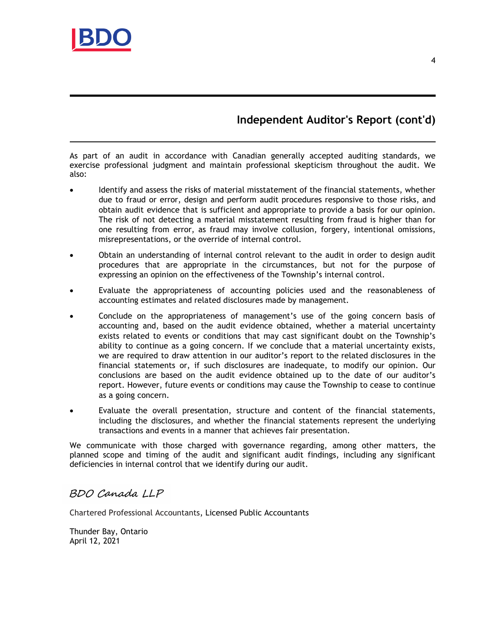

# **Independent Auditor's Report (cont'd)**

As part of an audit in accordance with Canadian generally accepted auditing standards, we exercise professional judgment and maintain professional skepticism throughout the audit. We also:

- Identify and assess the risks of material misstatement of the financial statements, whether due to fraud or error, design and perform audit procedures responsive to those risks, and obtain audit evidence that is sufficient and appropriate to provide a basis for our opinion. The risk of not detecting a material misstatement resulting from fraud is higher than for one resulting from error, as fraud may involve collusion, forgery, intentional omissions, misrepresentations, or the override of internal control.
- Obtain an understanding of internal control relevant to the audit in order to design audit procedures that are appropriate in the circumstances, but not for the purpose of expressing an opinion on the effectiveness of the Township's internal control.
- Evaluate the appropriateness of accounting policies used and the reasonableness of accounting estimates and related disclosures made by management.
- Conclude on the appropriateness of management's use of the going concern basis of accounting and, based on the audit evidence obtained, whether a material uncertainty exists related to events or conditions that may cast significant doubt on the Township's ability to continue as a going concern. If we conclude that a material uncertainty exists, we are required to draw attention in our auditor's report to the related disclosures in the financial statements or, if such disclosures are inadequate, to modify our opinion. Our conclusions are based on the audit evidence obtained up to the date of our auditor's report. However, future events or conditions may cause the Township to cease to continue as a going concern.
- Evaluate the overall presentation, structure and content of the financial statements, including the disclosures, and whether the financial statements represent the underlying transactions and events in a manner that achieves fair presentation.

We communicate with those charged with governance regarding, among other matters, the planned scope and timing of the audit and significant audit findings, including any significant deficiencies in internal control that we identify during our audit.

### BDO Canada LLP

Chartered Professional Accountants, Licensed Public Accountants

Thunder Bay, Ontario April 12, 2021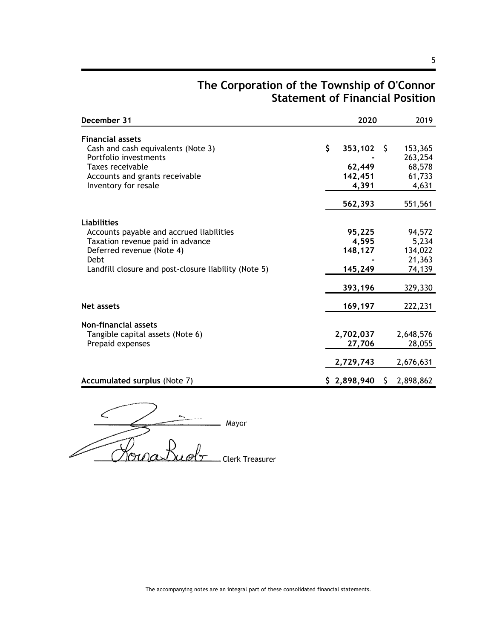| December 31                                                                                                                                                                                     |     | 2020                                             |     | 2019                                                      |
|-------------------------------------------------------------------------------------------------------------------------------------------------------------------------------------------------|-----|--------------------------------------------------|-----|-----------------------------------------------------------|
| <b>Financial assets</b><br>Cash and cash equivalents (Note 3)<br>Portfolio investments<br>Taxes receivable<br>Accounts and grants receivable<br>Inventory for resale                            | \$. | 353,102<br>62,449<br>142,451<br>4,391            | - S | 153,365<br>263,254<br>68,578<br>61,733<br>4,631           |
|                                                                                                                                                                                                 |     | 562,393                                          |     | 551,561                                                   |
| <b>Liabilities</b><br>Accounts payable and accrued liabilities<br>Taxation revenue paid in advance<br>Deferred revenue (Note 4)<br>Debt<br>Landfill closure and post-closure liability (Note 5) |     | 95,225<br>4,595<br>148,127<br>145,249<br>393,196 |     | 94,572<br>5,234<br>134,022<br>21,363<br>74,139<br>329,330 |
| Net assets                                                                                                                                                                                      |     | 169,197                                          |     | 222,231                                                   |
| <b>Non-financial assets</b><br>Tangible capital assets (Note 6)<br>Prepaid expenses                                                                                                             |     | 2,702,037<br>27,706<br>2,729,743                 |     | 2,648,576<br>28,055<br>2,676,631                          |
| Accumulated surplus (Note 7)                                                                                                                                                                    |     | \$2,898,940                                      | S.  | 2,898,862                                                 |

# **The Corporation of the Township of O'Connor Statement of Financial Position**

Conactural **Mayor** Clerk Treasurer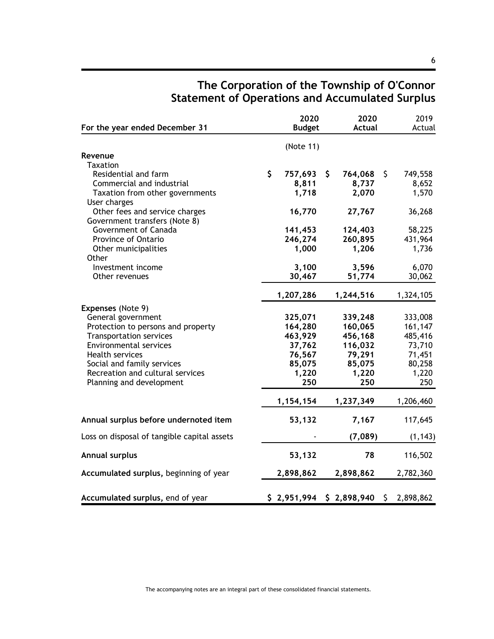| For the year ended December 31              | 2020<br><b>Budget</b> | 2020<br><b>Actual</b>     | 2019<br>Actual  |
|---------------------------------------------|-----------------------|---------------------------|-----------------|
|                                             | (Note 11)             |                           |                 |
| Revenue                                     |                       |                           |                 |
| Taxation                                    |                       |                           |                 |
| Residential and farm                        | \$<br>757,693         | \$<br>764,068             | \$<br>749,558   |
| Commercial and industrial                   | 8,811                 | 8,737                     | 8,652           |
| Taxation from other governments             | 1,718                 | 2,070                     | 1,570           |
| User charges                                |                       |                           |                 |
| Other fees and service charges              | 16,770                | 27,767                    | 36,268          |
| Government transfers (Note 8)               |                       |                           |                 |
| Government of Canada                        | 141,453               | 124,403                   | 58,225          |
| Province of Ontario                         | 246,274<br>1,000      | 260,895<br>1,206          | 431,964         |
| Other municipalities<br>Other               |                       |                           | 1,736           |
| Investment income                           | 3,100                 | 3,596                     | 6,070           |
| Other revenues                              | 30,467                | 51,774                    | 30,062          |
|                                             |                       |                           |                 |
|                                             | 1,207,286             | 1,244,516                 | 1,324,105       |
| Expenses (Note 9)                           |                       |                           |                 |
| General government                          | 325,071               | 339,248                   | 333,008         |
| Protection to persons and property          | 164,280               | 160,065                   | 161,147         |
| <b>Transportation services</b>              | 463,929               | 456,168                   | 485,416         |
| Environmental services                      | 37,762                | 116,032                   | 73,710          |
| Health services                             | 76,567                | 79,291                    | 71,451          |
| Social and family services                  | 85,075                | 85,075                    | 80,258          |
| Recreation and cultural services            | 1,220                 | 1,220                     | 1,220           |
| Planning and development                    | 250                   | 250                       | 250             |
|                                             | 1,154,154             | 1,237,349                 | 1,206,460       |
| Annual surplus before undernoted item       | 53,132                | 7,167                     | 117,645         |
| Loss on disposal of tangible capital assets |                       | (7,089)                   | (1, 143)        |
| <b>Annual surplus</b>                       | 53,132                | 78                        | 116,502         |
| Accumulated surplus, beginning of year      | 2,898,862             | 2,898,862                 | 2,782,360       |
| Accumulated surplus, end of year            |                       | $$2,951,994$ $$2,898,940$ | \$<br>2,898,862 |

# **The Corporation of the Township of O'Connor Statement of Operations and Accumulated Surplus**

The accompanying notes are an integral part of these consolidated financial statements.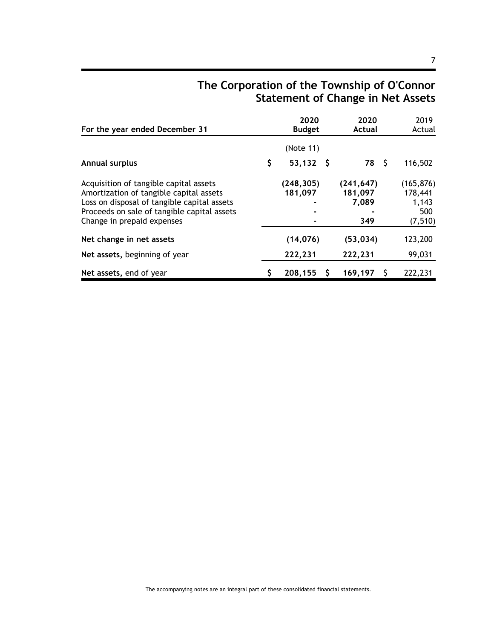# **The Corporation of the Township of O'Connor Statement of Change in Net Assets**

| For the year ended December 31                                                                                                                                                                                | 2020<br><b>Budget</b>   | 2020<br>Actual                        | 2019<br>Actual                                    |
|---------------------------------------------------------------------------------------------------------------------------------------------------------------------------------------------------------------|-------------------------|---------------------------------------|---------------------------------------------------|
|                                                                                                                                                                                                               | (Note 11)               |                                       |                                                   |
| <b>Annual surplus</b>                                                                                                                                                                                         | \$<br>$53,132$ \$       | 78 \$                                 | 116,502                                           |
| Acquisition of tangible capital assets<br>Amortization of tangible capital assets<br>Loss on disposal of tangible capital assets<br>Proceeds on sale of tangible capital assets<br>Change in prepaid expenses | (248, 305)<br>181,097   | (241, 647)<br>181,097<br>7,089<br>349 | (165, 876)<br>178,441<br>1,143<br>500<br>(7, 510) |
| Net change in net assets                                                                                                                                                                                      | (14, 076)               | (53, 034)                             | 123,200                                           |
| Net assets, beginning of year<br>Net assets, end of year                                                                                                                                                      | 222,231<br>208,155<br>S | 222,231<br>169,197<br>S               | 99,031<br>222,231                                 |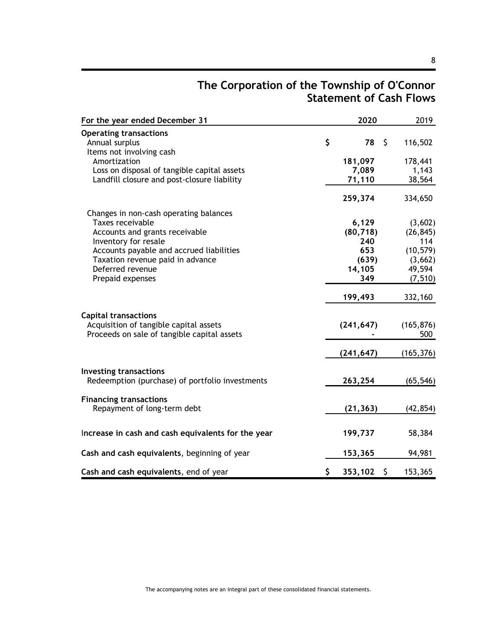| For the year ended December 31                                              | 2020                | 2019       |
|-----------------------------------------------------------------------------|---------------------|------------|
| <b>Operating transactions</b><br>Annual surplus<br>Items not involving cash | \$<br>78<br>\$      | 116,502    |
| Amortization                                                                | 181,097             | 178,441    |
| Loss on disposal of tangible capital assets                                 | 7,089               | 1,143      |
| Landfill closure and post-closure liability                                 | 71,110              | 38,564     |
|                                                                             | 259,374             | 334,650    |
| Changes in non-cash operating balances                                      |                     |            |
| Taxes receivable                                                            | 6,129               | (3,602)    |
| Accounts and grants receivable                                              | (80, 718)           | (26, 845)  |
| Inventory for resale                                                        | 240                 | 114        |
| Accounts payable and accrued liabilities                                    | 653                 | (10, 579)  |
| Taxation revenue paid in advance                                            | (639)               | (3,662)    |
| Deferred revenue                                                            | 14,105              | 49,594     |
| Prepaid expenses                                                            | 349                 | (7, 510)   |
|                                                                             | 199,493             | 332,160    |
| <b>Capital transactions</b>                                                 |                     |            |
| Acquisition of tangible capital assets                                      | (241, 647)          | (165, 876) |
| Proceeds on sale of tangible capital assets                                 |                     | 500        |
|                                                                             | (241, 647)          | (165, 376) |
| <b>Investing transactions</b>                                               |                     |            |
| Redeemption (purchase) of portfolio investments                             | 263,254             | (65, 546)  |
| <b>Financing transactions</b>                                               |                     |            |
| Repayment of long-term debt                                                 | (21, 363)           | (42, 854)  |
| Increase in cash and cash equivalents for the year                          | 199,737             | 58,384     |
| Cash and cash equivalents, beginning of year                                | 153,365             | 94,981     |
| Cash and cash equivalents, end of year                                      | \$<br>\$<br>353,102 | 153,365    |

# **The Corporation of the Township of O'Connor Statement of Cash Flows**

The accompanying notes are an integral part of these consolidated financial statements.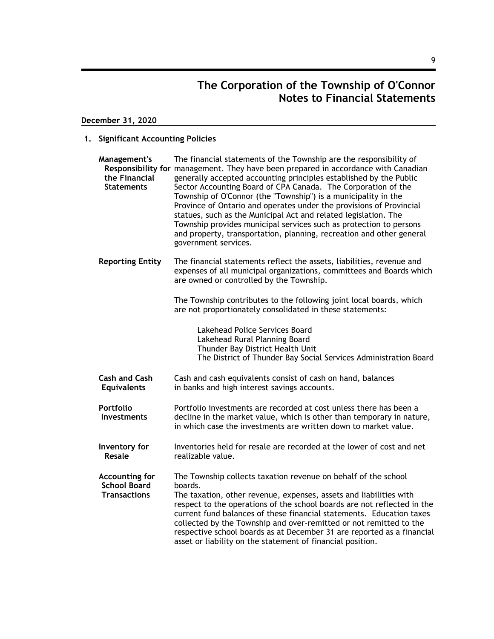**December 31, 2020**

### **1. Significant Accounting Policies**

| Management's<br>the Financial<br><b>Statements</b>                  | The financial statements of the Township are the responsibility of<br>Responsibility for management. They have been prepared in accordance with Canadian<br>generally accepted accounting principles established by the Public<br>Sector Accounting Board of CPA Canada. The Corporation of the<br>Township of O'Connor (the "Township") is a municipality in the<br>Province of Ontario and operates under the provisions of Provincial<br>statues, such as the Municipal Act and related legislation. The<br>Township provides municipal services such as protection to persons<br>and property, transportation, planning, recreation and other general<br>government services. |
|---------------------------------------------------------------------|-----------------------------------------------------------------------------------------------------------------------------------------------------------------------------------------------------------------------------------------------------------------------------------------------------------------------------------------------------------------------------------------------------------------------------------------------------------------------------------------------------------------------------------------------------------------------------------------------------------------------------------------------------------------------------------|
| <b>Reporting Entity</b>                                             | The financial statements reflect the assets, liabilities, revenue and<br>expenses of all municipal organizations, committees and Boards which<br>are owned or controlled by the Township.                                                                                                                                                                                                                                                                                                                                                                                                                                                                                         |
|                                                                     | The Township contributes to the following joint local boards, which<br>are not proportionately consolidated in these statements:                                                                                                                                                                                                                                                                                                                                                                                                                                                                                                                                                  |
|                                                                     | Lakehead Police Services Board<br>Lakehead Rural Planning Board<br>Thunder Bay District Health Unit<br>The District of Thunder Bay Social Services Administration Board                                                                                                                                                                                                                                                                                                                                                                                                                                                                                                           |
| <b>Cash and Cash</b><br><b>Equivalents</b>                          | Cash and cash equivalents consist of cash on hand, balances<br>in banks and high interest savings accounts.                                                                                                                                                                                                                                                                                                                                                                                                                                                                                                                                                                       |
| Portfolio<br><b>Investments</b>                                     | Portfolio investments are recorded at cost unless there has been a<br>decline in the market value, which is other than temporary in nature,<br>in which case the investments are written down to market value.                                                                                                                                                                                                                                                                                                                                                                                                                                                                    |
| Inventory for<br><b>Resale</b>                                      | Inventories held for resale are recorded at the lower of cost and net<br>realizable value.                                                                                                                                                                                                                                                                                                                                                                                                                                                                                                                                                                                        |
| <b>Accounting for</b><br><b>School Board</b><br><b>Transactions</b> | The Township collects taxation revenue on behalf of the school<br>boards.<br>The taxation, other revenue, expenses, assets and liabilities with<br>respect to the operations of the school boards are not reflected in the<br>current fund balances of these financial statements. Education taxes<br>collected by the Township and over-remitted or not remitted to the<br>respective school boards as at December 31 are reported as a financial<br>asset or liability on the statement of financial position.                                                                                                                                                                  |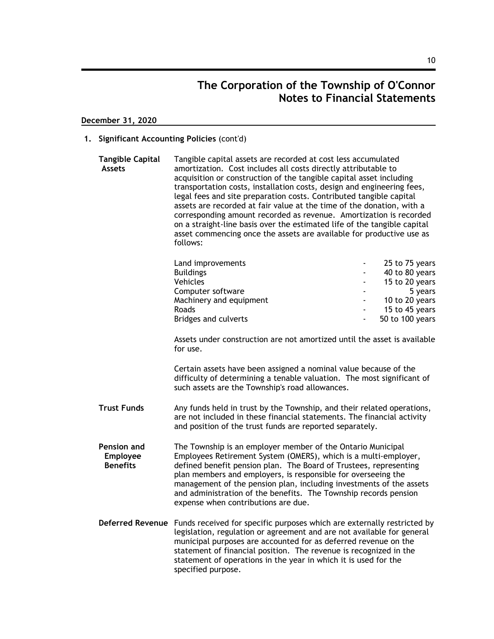### **December 31, 2020**

### **1. Significant Accounting Policies** (cont'd)

| <b>Tangible Capital</b><br><b>Assets</b>   | Tangible capital assets are recorded at cost less accumulated<br>amortization. Cost includes all costs directly attributable to<br>acquisition or construction of the tangible capital asset including<br>transportation costs, installation costs, design and engineering fees,<br>legal fees and site preparation costs. Contributed tangible capital<br>assets are recorded at fair value at the time of the donation, with a<br>corresponding amount recorded as revenue. Amortization is recorded<br>on a straight-line basis over the estimated life of the tangible capital<br>asset commencing once the assets are available for productive use as<br>follows: |                                        |                                                                                                                      |  |
|--------------------------------------------|------------------------------------------------------------------------------------------------------------------------------------------------------------------------------------------------------------------------------------------------------------------------------------------------------------------------------------------------------------------------------------------------------------------------------------------------------------------------------------------------------------------------------------------------------------------------------------------------------------------------------------------------------------------------|----------------------------------------|----------------------------------------------------------------------------------------------------------------------|--|
|                                            | Land improvements<br><b>Buildings</b><br>Vehicles<br>Computer software<br>Machinery and equipment<br>Roads<br>Bridges and culverts                                                                                                                                                                                                                                                                                                                                                                                                                                                                                                                                     | $\blacksquare$<br>ä,<br>$\blacksquare$ | 25 to 75 years<br>40 to 80 years<br>15 to 20 years<br>5 years<br>10 to 20 years<br>15 to 45 years<br>50 to 100 years |  |
|                                            | Assets under construction are not amortized until the asset is available<br>for use.<br>Certain assets have been assigned a nominal value because of the<br>difficulty of determining a tenable valuation. The most significant of<br>such assets are the Township's road allowances.                                                                                                                                                                                                                                                                                                                                                                                  |                                        |                                                                                                                      |  |
| <b>Trust Funds</b>                         | Any funds held in trust by the Township, and their related operations,<br>are not included in these financial statements. The financial activity<br>and position of the trust funds are reported separately.                                                                                                                                                                                                                                                                                                                                                                                                                                                           |                                        |                                                                                                                      |  |
| Pension and<br>Employee<br><b>Benefits</b> | The Township is an employer member of the Ontario Municipal<br>Employees Retirement System (OMERS), which is a multi-employer,<br>defined benefit pension plan. The Board of Trustees, representing<br>plan members and employers, is responsible for overseeing the<br>management of the pension plan, including investments of the assets<br>and administration of the benefits. The Township records pension<br>expense when contributions are due.                                                                                                                                                                                                                 |                                        |                                                                                                                      |  |
|                                            | Deferred Revenue Funds received for specific purposes which are externally restricted by<br>legislation, regulation or agreement and are not available for general<br>municipal purposes are accounted for as deferred revenue on the<br>statement of financial position. The revenue is recognized in the<br>statement of operations in the year in which it is used for the                                                                                                                                                                                                                                                                                          |                                        |                                                                                                                      |  |

specified purpose.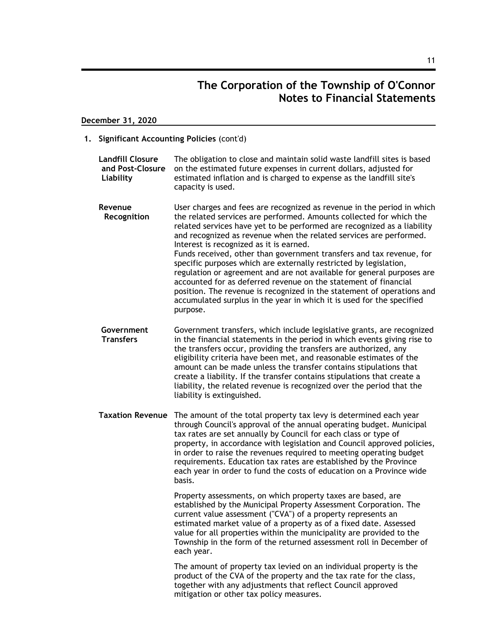### **December 31, 2020**

### **1. Significant Accounting Policies** (cont'd)

| <b>Landfill Closure</b><br>and Post-Closure<br>Liability | The obligation to close and maintain solid waste landfill sites is based<br>on the estimated future expenses in current dollars, adjusted for<br>estimated inflation and is charged to expense as the landfill site's<br>capacity is used.                                                                                                                                                                                                                                                                                                                                                                                                                                                                                                                                                         |
|----------------------------------------------------------|----------------------------------------------------------------------------------------------------------------------------------------------------------------------------------------------------------------------------------------------------------------------------------------------------------------------------------------------------------------------------------------------------------------------------------------------------------------------------------------------------------------------------------------------------------------------------------------------------------------------------------------------------------------------------------------------------------------------------------------------------------------------------------------------------|
| Revenue<br>Recognition                                   | User charges and fees are recognized as revenue in the period in which<br>the related services are performed. Amounts collected for which the<br>related services have yet to be performed are recognized as a liability<br>and recognized as revenue when the related services are performed.<br>Interest is recognized as it is earned.<br>Funds received, other than government transfers and tax revenue, for<br>specific purposes which are externally restricted by legislation,<br>regulation or agreement and are not available for general purposes are<br>accounted for as deferred revenue on the statement of financial<br>position. The revenue is recognized in the statement of operations and<br>accumulated surplus in the year in which it is used for the specified<br>purpose. |
| Government<br><b>Transfers</b>                           | Government transfers, which include legislative grants, are recognized<br>in the financial statements in the period in which events giving rise to<br>the transfers occur, providing the transfers are authorized, any<br>eligibility criteria have been met, and reasonable estimates of the<br>amount can be made unless the transfer contains stipulations that<br>create a liability. If the transfer contains stipulations that create a<br>liability, the related revenue is recognized over the period that the<br>liability is extinguished.                                                                                                                                                                                                                                               |
| <b>Taxation Revenue</b>                                  | The amount of the total property tax levy is determined each year<br>through Council's approval of the annual operating budget. Municipal<br>tax rates are set annually by Council for each class or type of<br>property, in accordance with legislation and Council approved policies,<br>in order to raise the revenues required to meeting operating budget<br>requirements. Education tax rates are established by the Province<br>each year in order to fund the costs of education on a Province wide<br>basis.                                                                                                                                                                                                                                                                              |
|                                                          | Property assessments, on which property taxes are based, are<br>established by the Municipal Property Assessment Corporation. The<br>current value assessment ("CVA") of a property represents an<br>estimated market value of a property as of a fixed date. Assessed<br>value for all properties within the municipality are provided to the<br>Township in the form of the returned assessment roll in December of<br>each year.                                                                                                                                                                                                                                                                                                                                                                |
|                                                          | The amount of property tax levied on an individual property is the<br>product of the CVA of the property and the tax rate for the class,<br>together with any adjustments that reflect Council approved<br>mitigation or other tax policy measures.                                                                                                                                                                                                                                                                                                                                                                                                                                                                                                                                                |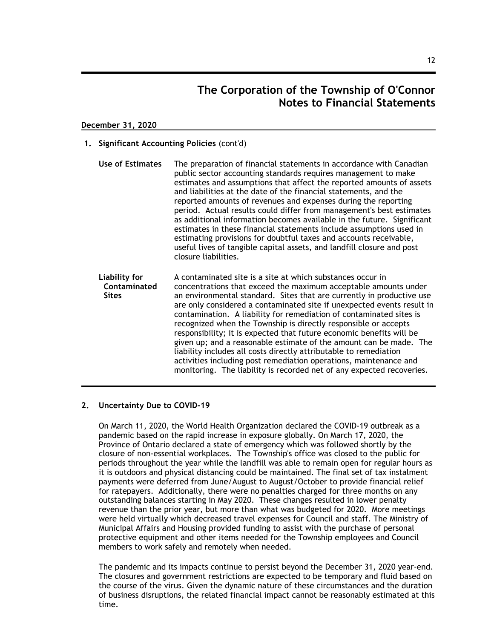### **December 31, 2020**

**1. Significant Accounting Policies** (cont'd)

| Use of Estimates                              | The preparation of financial statements in accordance with Canadian<br>public sector accounting standards requires management to make<br>estimates and assumptions that affect the reported amounts of assets<br>and liabilities at the date of the financial statements, and the<br>reported amounts of revenues and expenses during the reporting<br>period. Actual results could differ from management's best estimates<br>as additional information becomes available in the future. Significant<br>estimates in these financial statements include assumptions used in<br>estimating provisions for doubtful taxes and accounts receivable,<br>useful lives of tangible capital assets, and landfill closure and post<br>closure liabilities.                                         |
|-----------------------------------------------|---------------------------------------------------------------------------------------------------------------------------------------------------------------------------------------------------------------------------------------------------------------------------------------------------------------------------------------------------------------------------------------------------------------------------------------------------------------------------------------------------------------------------------------------------------------------------------------------------------------------------------------------------------------------------------------------------------------------------------------------------------------------------------------------|
| Liability for<br>Contaminated<br><b>Sites</b> | A contaminated site is a site at which substances occur in<br>concentrations that exceed the maximum acceptable amounts under<br>an environmental standard. Sites that are currently in productive use<br>are only considered a contaminated site if unexpected events result in<br>contamination. A liability for remediation of contaminated sites is<br>recognized when the Township is directly responsible or accepts<br>responsibility; it is expected that future economic benefits will be<br>given up; and a reasonable estimate of the amount can be made. The<br>liability includes all costs directly attributable to remediation<br>activities including post remediation operations, maintenance and<br>monitoring. The liability is recorded net of any expected recoveries. |

### **2. Uncertainty Due to COVID-19**

On March 11, 2020, the World Health Organization declared the COVID-19 outbreak as a pandemic based on the rapid increase in exposure globally. On March 17, 2020, the Province of Ontario declared a state of emergency which was followed shortly by the closure of non-essential workplaces. The Township's office was closed to the public for periods throughout the year while the landfill was able to remain open for regular hours as it is outdoors and physical distancing could be maintained. The final set of tax instalment payments were deferred from June/August to August/October to provide financial relief for ratepayers. Additionally, there were no penalties charged for three months on any outstanding balances starting in May 2020. These changes resulted in lower penalty revenue than the prior year, but more than what was budgeted for 2020. More meetings were held virtually which decreased travel expenses for Council and staff. The Ministry of Municipal Affairs and Housing provided funding to assist with the purchase of personal protective equipment and other items needed for the Township employees and Council members to work safely and remotely when needed.

The pandemic and its impacts continue to persist beyond the December 31, 2020 year-end. The closures and government restrictions are expected to be temporary and fluid based on the course of the virus. Given the dynamic nature of these circumstances and the duration of business disruptions, the related financial impact cannot be reasonably estimated at this time.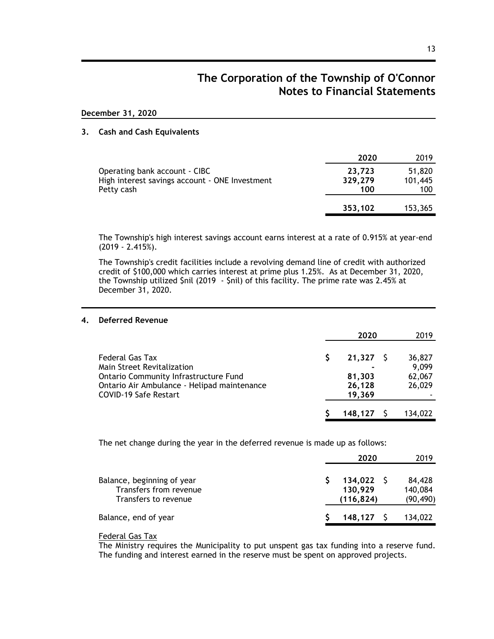#### **December 31, 2020**

### **3. Cash and Cash Equivalents**

|                                                | 2020    | 2019    |
|------------------------------------------------|---------|---------|
| Operating bank account - CIBC                  | 23,723  | 51,820  |
| High interest savings account - ONE Investment | 329,279 | 101,445 |
| Petty cash                                     | 100     | 100     |
|                                                |         |         |
|                                                | 353,102 | 153,365 |
|                                                |         |         |

The Township's high interest savings account earns interest at a rate of 0.915% at year-end (2019 - 2.415%).

The Township's credit facilities include a revolving demand line of credit with authorized credit of \$100,000 which carries interest at prime plus 1.25%. As at December 31, 2020, the Township utilized \$nil (2019 - \$nil) of this facility. The prime rate was 2.45% at December 31, 2020.

### **4. Deferred Revenue**

|                                                                                                                                                                              | 2020                                      | 2019 |                                     |
|------------------------------------------------------------------------------------------------------------------------------------------------------------------------------|-------------------------------------------|------|-------------------------------------|
| Federal Gas Tax<br>Main Street Revitalization<br><b>Ontario Community Infrastructure Fund</b><br>Ontario Air Ambulance - Helipad maintenance<br><b>COVID-19 Safe Restart</b> | $21,327$ \$<br>81,303<br>26,128<br>19,369 |      | 36,827<br>9,099<br>62,067<br>26,029 |
|                                                                                                                                                                              | 148,127                                   |      | 134,022                             |

The net change during the year in the deferred revenue is made up as follows:

|                                                                              | 2020                                  | 2019                           |
|------------------------------------------------------------------------------|---------------------------------------|--------------------------------|
| Balance, beginning of year<br>Transfers from revenue<br>Transfers to revenue | $134,022$ \$<br>130,929<br>(116, 824) | 84,428<br>140,084<br>(90, 490) |
| Balance, end of year                                                         | $148, 127$ \$                         | 134,022                        |

### Federal Gas Tax

The Ministry requires the Municipality to put unspent gas tax funding into a reserve fund. The funding and interest earned in the reserve must be spent on approved projects.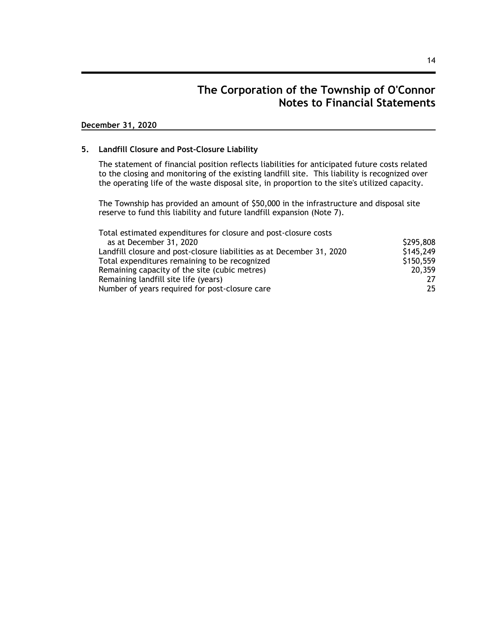### **December 31, 2020**

### **5. Landfill Closure and Post-Closure Liability**

The statement of financial position reflects liabilities for anticipated future costs related to the closing and monitoring of the existing landfill site. This liability is recognized over the operating life of the waste disposal site, in proportion to the site's utilized capacity.

The Township has provided an amount of \$50,000 in the infrastructure and disposal site reserve to fund this liability and future landfill expansion (Note 7).

| \$295,808 |
|-----------|
| \$145,249 |
| \$150,559 |
| 20.359    |
| 27        |
| 25        |
|           |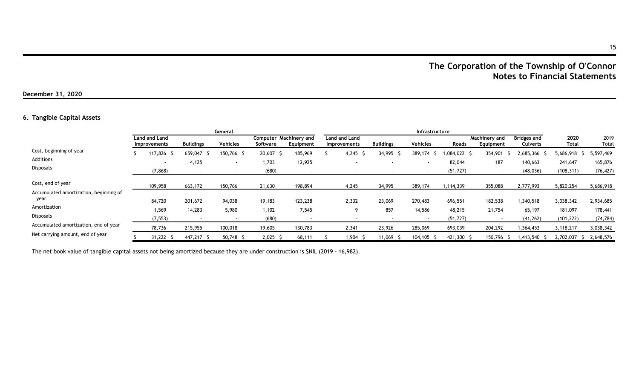### **December 31, 2020**

### **6. Tangible Capital Assets**

|                                        | General |                                             |                  |               |                                    | Infrastructure |  |                                      |                  |                 |            |               |           |                                       |               |               |
|----------------------------------------|---------|---------------------------------------------|------------------|---------------|------------------------------------|----------------|--|--------------------------------------|------------------|-----------------|------------|---------------|-----------|---------------------------------------|---------------|---------------|
|                                        |         | <b>Land and Land</b><br><b>Improvements</b> | <b>Buildings</b> | Vehicles      | Computer Machinery and<br>Software | Equipment      |  | Land and Land<br><b>Improvements</b> | <b>Buildings</b> | <b>Vehicles</b> | Roads      | Machinery and | Equipment | <b>Bridges and</b><br><b>Culverts</b> | 2020<br>Total | 2019<br>Total |
| Cost, beginning of year                |         | 117,826                                     | 659,047          | 150,766 \$    | 20,607 \$                          | 185,969        |  | $4,245$ \$                           | 34,995           | 389,174         | 084,022 \$ |               | 354,901   | 2,685,366                             | 5,686,918     | 5,597,469     |
| Additions                              |         |                                             | 4,125            | $\sim$        | 1,703                              | 12,925         |  | $\overline{\phantom{a}}$             |                  | $\sim$          | 82,044     |               | 187       | 140,663                               | 241,647       | 165,876       |
| <b>Disposals</b>                       |         | (7, 868)                                    |                  | $\sim$        | (680)                              |                |  |                                      |                  |                 | (51, 727)  |               |           | (48, 036)                             | (108, 311)    | (76, 427)     |
| Cost, end of year                      |         | 109,958                                     | 663,172          | 150,766       | 21,630                             | 198,894        |  | 4,245                                | 34,995           | 389,174         | 1,114,339  |               | 355,088   | 2,777,993                             | 5,820,254     | 5,686,918     |
| Accumulated amortization, beginning of |         |                                             |                  |               |                                    |                |  |                                      |                  |                 |            |               |           |                                       |               |               |
| year                                   |         | 84,720                                      | 201,672          | 94,038        | 19,183                             | 123,238        |  | 2,332                                | 23,069           | 270,483         | 696,551    |               | 182,538   | 1,340,518                             | 3,038,342     | 2,934,685     |
| Amortization                           |         | 1,569                                       | 14,283           | 5,980         | 1,102                              | 7,545          |  | $\Omega$                             | 857              | 14,586          | 48,215     |               | 21,754    | 65,197                                | 181,097       | 178,441       |
| <b>Disposals</b>                       |         | (7, 553)                                    |                  | $\sim$        | (680)                              |                |  |                                      |                  |                 | (51, 727)  |               |           | (41, 262)                             | (101, 222)    | (74, 784)     |
| Accumulated amortization, end of year  |         | 78,736                                      | 215,955          | 100,018       | 19,605                             | 130,783        |  | 2,341                                | 23,926           | 285,069         | 693,039    |               | 204,292   | 1,364,453                             | 3,118,217     | 3,038,342     |
| Net carrying amount, end of year       |         | 31,222                                      | 447,217          | 50,748<br>- 5 | 2,025                              | 68,111         |  | .904                                 | 11,069           | 104,105 \$      | 421,300 \$ |               | 150,796   | 1,413,540 \$                          | 2,702,037     | 2,648,576     |

The net book value of tangible capital assets not being amortized because they are under construction is \$NIL (2019 - 16,982).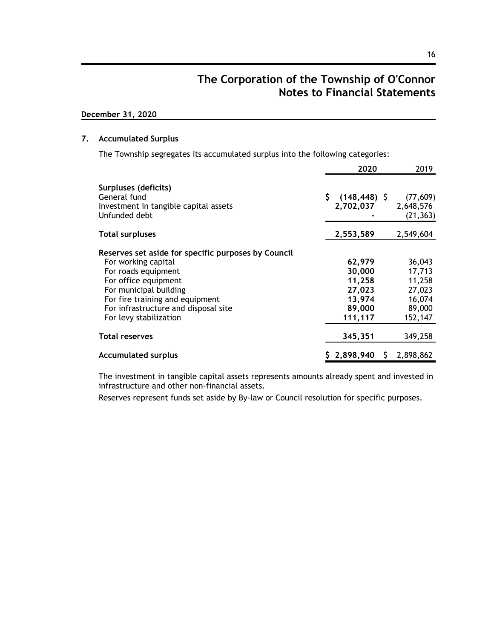### **December 31, 2020**

### **7. Accumulated Surplus**

The Township segregates its accumulated surplus into the following categories:

|                                                                                                                                                                                                                                                          | 2020                                                                | 2019                                                                |
|----------------------------------------------------------------------------------------------------------------------------------------------------------------------------------------------------------------------------------------------------------|---------------------------------------------------------------------|---------------------------------------------------------------------|
| Surpluses (deficits)<br>General fund<br>Investment in tangible capital assets<br>Unfunded debt                                                                                                                                                           | $(148, 448)$ \$<br>S<br>2,702,037                                   | (77, 609)<br>2,648,576<br>(21, 363)                                 |
| <b>Total surpluses</b>                                                                                                                                                                                                                                   | 2,553,589                                                           | 2,549,604                                                           |
| Reserves set aside for specific purposes by Council<br>For working capital<br>For roads equipment<br>For office equipment<br>For municipal building<br>For fire training and equipment<br>For infrastructure and disposal site<br>For levy stabilization | 62,979<br>30,000<br>11,258<br>27,023<br>13,974<br>89,000<br>111,117 | 36,043<br>17,713<br>11,258<br>27,023<br>16,074<br>89,000<br>152,147 |
| <b>Total reserves</b>                                                                                                                                                                                                                                    | 345,351                                                             | 349,258                                                             |
| <b>Accumulated surplus</b>                                                                                                                                                                                                                               | \$2,898,940<br>S.                                                   | 2,898,862                                                           |

The investment in tangible capital assets represents amounts already spent and invested in infrastructure and other non-financial assets.

Reserves represent funds set aside by By-law or Council resolution for specific purposes.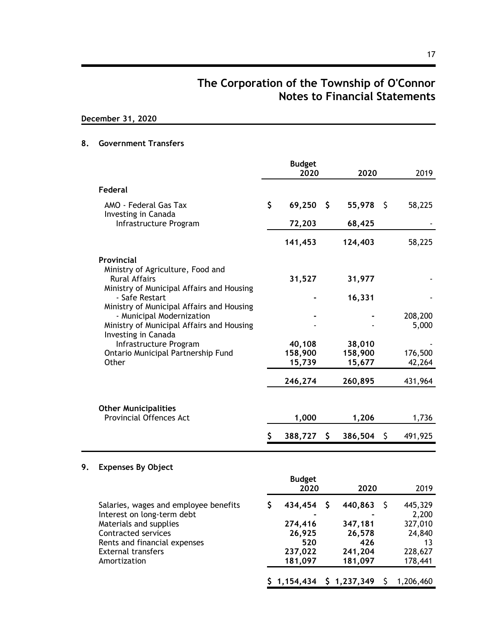**December 31, 2020**

### **8. Government Transfers**

|                                                                        |    | <b>Budget</b><br>2020<br>2020 |      |              | 2019    |  |  |
|------------------------------------------------------------------------|----|-------------------------------|------|--------------|---------|--|--|
| Federal                                                                |    |                               |      |              |         |  |  |
| AMO - Federal Gas Tax                                                  | \$ | 69,250                        | - \$ | $55,978$ \$  | 58,225  |  |  |
| Investing in Canada<br>Infrastructure Program                          |    | 72,203                        |      | 68,425       |         |  |  |
|                                                                        |    | 141,453                       |      | 124,403      | 58,225  |  |  |
| Provincial                                                             |    |                               |      |              |         |  |  |
| Ministry of Agriculture, Food and<br><b>Rural Affairs</b>              |    | 31,527                        |      | 31,977       |         |  |  |
| Ministry of Municipal Affairs and Housing<br>- Safe Restart            |    |                               |      | 16,331       |         |  |  |
| Ministry of Municipal Affairs and Housing<br>- Municipal Modernization |    |                               |      |              | 208,200 |  |  |
| Ministry of Municipal Affairs and Housing<br>Investing in Canada       |    |                               |      |              | 5,000   |  |  |
| Infrastructure Program                                                 |    | 40,108                        |      | 38,010       |         |  |  |
| Ontario Municipal Partnership Fund                                     |    | 158,900                       |      | 158,900      | 176,500 |  |  |
| Other                                                                  |    | 15,739                        |      | 15,677       | 42,264  |  |  |
|                                                                        |    | 246,274                       |      | 260,895      | 431,964 |  |  |
|                                                                        |    |                               |      |              |         |  |  |
| <b>Other Municipalities</b>                                            |    |                               |      |              |         |  |  |
| <b>Provincial Offences Act</b>                                         |    | 1,000                         |      | 1,206        | 1,736   |  |  |
|                                                                        | S  | 388,727                       | S    | $386,504$ \$ | 491,925 |  |  |

### **9. Expenses By Object**

|                                                                                                                                                                                                   | <b>Budget</b><br>2020                                     | 2020                                                      | 2019                                                              |
|---------------------------------------------------------------------------------------------------------------------------------------------------------------------------------------------------|-----------------------------------------------------------|-----------------------------------------------------------|-------------------------------------------------------------------|
| Salaries, wages and employee benefits<br>Interest on long-term debt<br>Materials and supplies<br>Contracted services<br>Rents and financial expenses<br><b>External transfers</b><br>Amortization | 434,454<br>274,416<br>26,925<br>520<br>237,022<br>181,097 | 440,863<br>347,181<br>26,578<br>426<br>241,204<br>181,097 | 445,329<br>2,200<br>327,010<br>24,840<br>13<br>228,627<br>178,441 |
|                                                                                                                                                                                                   | \$1,154,434                                               | \$1,237,349                                               | 1,206,460                                                         |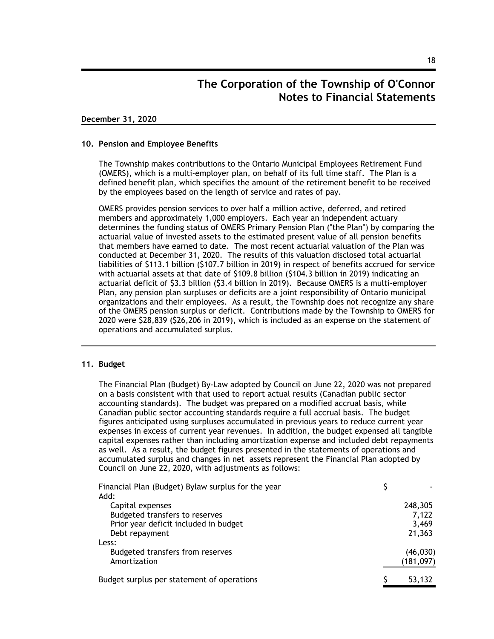#### **December 31, 2020**

#### **10. Pension and Employee Benefits**

The Township makes contributions to the Ontario Municipal Employees Retirement Fund (OMERS), which is a multi-employer plan, on behalf of its full time staff. The Plan is a defined benefit plan, which specifies the amount of the retirement benefit to be received by the employees based on the length of service and rates of pay.

OMERS provides pension services to over half a million active, deferred, and retired members and approximately 1,000 employers. Each year an independent actuary determines the funding status of OMERS Primary Pension Plan ("the Plan") by comparing the actuarial value of invested assets to the estimated present value of all pension benefits that members have earned to date. The most recent actuarial valuation of the Plan was conducted at December 31, 2020. The results of this valuation disclosed total actuarial liabilities of \$113.1 billion (\$107.7 billion in 2019) in respect of benefits accrued for service with actuarial assets at that date of \$109.8 billion (\$104.3 billion in 2019) indicating an actuarial deficit of \$3.3 billion (\$3.4 billion in 2019). Because OMERS is a multi-employer Plan, any pension plan surpluses or deficits are a joint responsibility of Ontario municipal organizations and their employees. As a result, the Township does not recognize any share of the OMERS pension surplus or deficit. Contributions made by the Township to OMERS for 2020 were \$28,839 (\$26,206 in 2019), which is included as an expense on the statement of operations and accumulated surplus.

#### **11. Budget**

The Financial Plan (Budget) By-Law adopted by Council on June 22, 2020 was not prepared on a basis consistent with that used to report actual results (Canadian public sector accounting standards). The budget was prepared on a modified accrual basis, while Canadian public sector accounting standards require a full accrual basis. The budget figures anticipated using surpluses accumulated in previous years to reduce current year expenses in excess of current year revenues. In addition, the budget expensed all tangible capital expenses rather than including amortization expense and included debt repayments as well. As a result, the budget figures presented in the statements of operations and accumulated surplus and changes in net assets represent the Financial Plan adopted by Council on June 22, 2020, with adjustments as follows:

| Financial Plan (Budget) Bylaw surplus for the year |            |
|----------------------------------------------------|------------|
| Add:                                               |            |
| Capital expenses                                   | 248,305    |
| Budgeted transfers to reserves                     | 7.122      |
| Prior year deficit included in budget              | 3,469      |
| Debt repayment                                     | 21,363     |
| Less:                                              |            |
| Budgeted transfers from reserves                   | (46, 030)  |
| Amortization                                       | (181, 097) |
| Budget surplus per statement of operations         | 53,132     |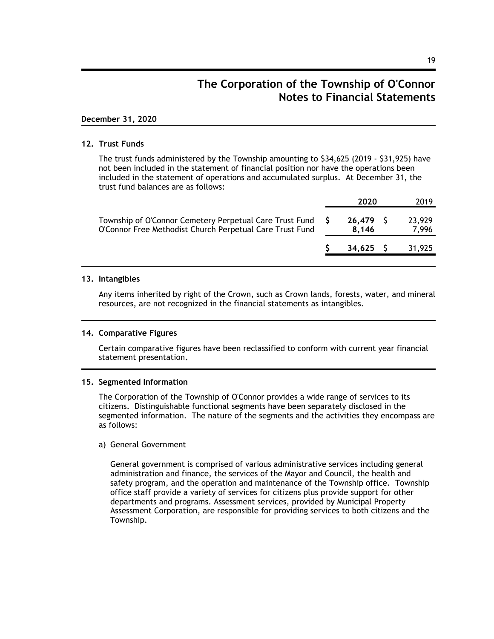### **December 31, 2020**

#### **12. Trust Funds**

The trust funds administered by the Township amounting to \$34,625 (2019 - \$31,925) have not been included in the statement of financial position nor have the operations been included in the statement of operations and accumulated surplus. At December 31, the trust fund balances are as follows:

|                                                                                                                     |    | 2020                 | 2019            |
|---------------------------------------------------------------------------------------------------------------------|----|----------------------|-----------------|
| Township of O'Connor Cemetery Perpetual Care Trust Fund<br>O'Connor Free Methodist Church Perpetual Care Trust Fund | S. | $26,479$ \$<br>8.146 | 23,929<br>7,996 |
|                                                                                                                     |    | $34,625$ \$          | 31,925          |

#### **13. Intangibles**

Any items inherited by right of the Crown, such as Crown lands, forests, water, and mineral resources, are not recognized in the financial statements as intangibles.

### **14. Comparative Figures**

Certain comparative figures have been reclassified to conform with current year financial statement presentation**.**

#### **15. Segmented Information**

The Corporation of the Township of O'Connor provides a wide range of services to its citizens. Distinguishable functional segments have been separately disclosed in the segmented information. The nature of the segments and the activities they encompass are as follows:

### a) General Government

General government is comprised of various administrative services including general administration and finance, the services of the Mayor and Council, the health and safety program, and the operation and maintenance of the Township office. Township office staff provide a variety of services for citizens plus provide support for other departments and programs. Assessment services, provided by Municipal Property Assessment Corporation, are responsible for providing services to both citizens and the Township.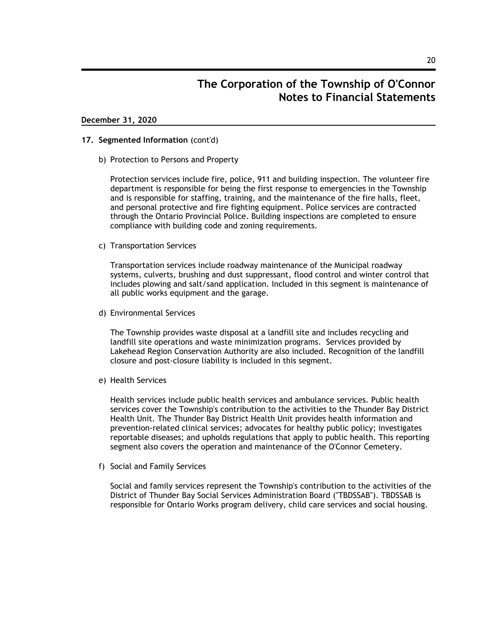#### **December 31, 2020**

### **17. Segmented Information** (cont'd)

b) Protection to Persons and Property

Protection services include fire, police, 911 and building inspection. The volunteer fire department is responsible for being the first response to emergencies in the Township and is responsible for staffing, training, and the maintenance of the fire halls, fleet, and personal protective and fire fighting equipment. Police services are contracted through the Ontario Provincial Police. Building inspections are completed to ensure compliance with building code and zoning requirements.

c) Transportation Services

Transportation services include roadway maintenance of the Municipal roadway systems, culverts, brushing and dust suppressant, flood control and winter control that includes plowing and salt/sand application. Included in this segment is maintenance of all public works equipment and the garage.

d) Environmental Services

The Township provides waste disposal at a landfill site and includes recycling and landfill site operations and waste minimization programs. Services provided by Lakehead Region Conservation Authority are also included. Recognition of the landfill closure and post-closure liability is included in this segment.

e) Health Services

Health services include public health services and ambulance services. Public health services cover the Township's contribution to the activities to the Thunder Bay District Health Unit. The Thunder Bay District Health Unit provides health information and prevention-related clinical services; advocates for healthy public policy; investigates reportable diseases; and upholds regulations that apply to public health. This reporting segment also covers the operation and maintenance of the O'Connor Cemetery.

f) Social and Family Services

Social and family services represent the Township's contribution to the activities of the District of Thunder Bay Social Services Administration Board ("TBDSSAB"). TBDSSAB is responsible for Ontario Works program delivery, child care services and social housing.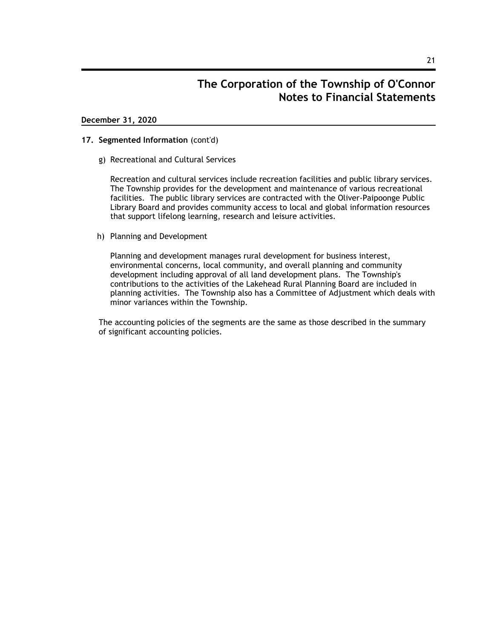#### **December 31, 2020**

### **17. Segmented Information** (cont'd)

g) Recreational and Cultural Services

Recreation and cultural services include recreation facilities and public library services. The Township provides for the development and maintenance of various recreational facilities. The public library services are contracted with the Oliver-Paipoonge Public Library Board and provides community access to local and global information resources that support lifelong learning, research and leisure activities.

h) Planning and Development

Planning and development manages rural development for business interest, environmental concerns, local community, and overall planning and community development including approval of all land development plans. The Township's contributions to the activities of the Lakehead Rural Planning Board are included in planning activities. The Township also has a Committee of Adjustment which deals with minor variances within the Township.

The accounting policies of the segments are the same as those described in the summary of significant accounting policies.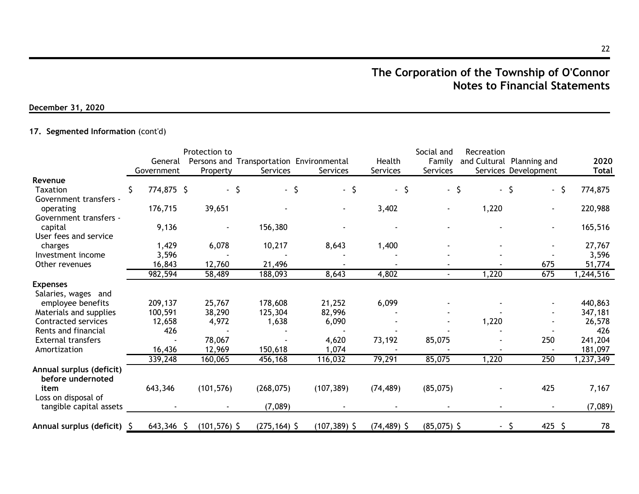### **December 31, 2020**

### **17. Segmented Information** (cont'd)

|                                               | General<br>Government | Protection to<br>Property | Services        | Persons and Transportation Environmental<br>Services | Health<br><b>Services</b> | Social and<br>Family<br>Services | Recreation                | and Cultural Planning and<br>Services Development | 2020<br><b>Total</b> |
|-----------------------------------------------|-----------------------|---------------------------|-----------------|------------------------------------------------------|---------------------------|----------------------------------|---------------------------|---------------------------------------------------|----------------------|
| Revenue                                       |                       |                           |                 |                                                      |                           |                                  |                           |                                                   |                      |
| <b>Taxation</b>                               | 774,875 \$            | $\sim$                    | \$              | $-5$<br>$-5$                                         | $-5$                      | $\blacksquare$                   | \$<br>$\mathcal{L}^{\pm}$ | $-5$<br>S                                         | 774,875              |
| Government transfers -                        |                       |                           |                 |                                                      |                           |                                  |                           |                                                   |                      |
| operating                                     | 176,715               | 39,651                    |                 |                                                      | 3,402                     | $\blacksquare$                   | 1,220                     |                                                   | 220,988              |
| Government transfers -                        |                       |                           |                 |                                                      |                           |                                  |                           |                                                   |                      |
| capital                                       | 9,136                 |                           | 156,380         |                                                      |                           |                                  |                           |                                                   | 165,516              |
| User fees and service<br>charges              | 1,429                 | 6,078                     | 10,217          | 8,643                                                | 1,400                     |                                  |                           |                                                   | 27,767               |
| Investment income                             | 3,596                 |                           |                 |                                                      |                           |                                  |                           |                                                   | 3,596                |
| Other revenues                                | 16,843                | 12,760                    | 21,496          |                                                      |                           |                                  |                           | 675                                               | 51,774               |
|                                               | 982,594               | 58,489                    | 188,093         | 8,643                                                | 4,802                     | $\blacksquare$                   | 1,220                     | 675                                               | 1,244,516            |
| <b>Expenses</b>                               |                       |                           |                 |                                                      |                           |                                  |                           |                                                   |                      |
| Salaries, wages and                           |                       |                           |                 |                                                      |                           |                                  |                           |                                                   |                      |
| employee benefits                             | 209,137               | 25,767                    | 178,608         | 21,252                                               | 6,099                     |                                  |                           |                                                   | 440,863              |
| Materials and supplies                        | 100,591               | 38,290                    | 125,304         | 82,996                                               |                           |                                  |                           |                                                   | 347,181              |
| <b>Contracted services</b>                    | 12,658                | 4,972                     | 1,638           | 6,090                                                |                           |                                  | 1,220                     |                                                   | 26,578               |
| Rents and financial                           | 426                   |                           |                 |                                                      |                           |                                  |                           |                                                   | 426                  |
| <b>External transfers</b>                     |                       | 78,067                    |                 | 4,620                                                | 73,192                    | 85,075                           |                           | 250                                               | 241,204              |
| Amortization                                  | 16,436                | 12,969                    | 150,618         | 1,074                                                |                           |                                  |                           |                                                   | 181,097              |
|                                               | 339,248               | 160,065                   | 456,168         | 116,032                                              | 79,291                    | 85,075                           | 1,220                     | 250                                               | 1,237,349            |
| Annual surplus (deficit)<br>before undernoted |                       |                           |                 |                                                      |                           |                                  |                           |                                                   |                      |
| item                                          | 643,346               | (101, 576)                | (268, 075)      | (107, 389)                                           | (74, 489)                 | (85,075)                         |                           | 425                                               | 7,167                |
| Loss on disposal of                           |                       |                           |                 |                                                      |                           |                                  |                           |                                                   |                      |
| tangible capital assets                       |                       |                           | (7,089)         |                                                      |                           |                                  |                           |                                                   | (7,089)              |
| Annual surplus (deficit) $\sqrt{5}$           | $643,346$ \$          | $(101, 576)$ \$           | $(275, 164)$ \$ | $(107, 389)$ \$                                      | $(74, 489)$ \$            | $(85,075)$ \$                    | - S                       | 425 \$                                            | 78                   |